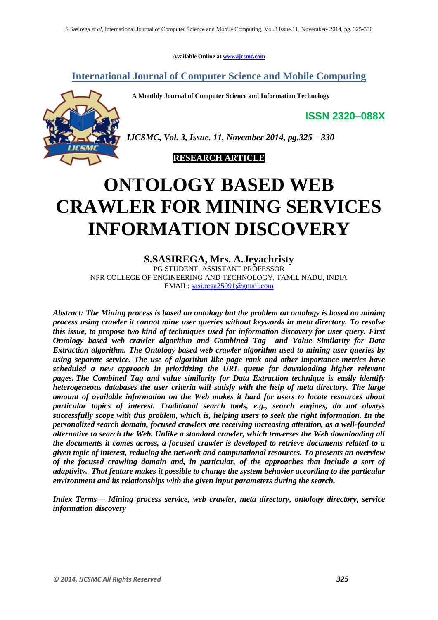**Available Online at www.ijcsmc.com**

**International Journal of Computer Science and Mobile Computing**

 **A Monthly Journal of Computer Science and Information Technology**

**ISSN 2320–088X**



*IJCSMC, Vol. 3, Issue. 11, November 2014, pg.325 – 330*



# **ONTOLOGY BASED WEB CRAWLER FOR MINING SERVICES INFORMATION DISCOVERY**

#### **S.SASIREGA, Mrs. A.Jeyachristy**

PG STUDENT, ASSISTANT PROFESSOR NPR COLLEGE OF ENGINEERING AND TECHNOLOGY, TAMIL NADU, INDIA EMAIL: sasi.rega25991@gmail.com

*Abstract: The Mining process is based on ontology but the problem on ontology is based on mining process using crawler it cannot mine user queries without keywords in meta directory. To resolve this issue, to propose two kind of techniques used for information discovery for user query. First Ontology based web crawler algorithm and Combined Tag and Value Similarity for Data Extraction algorithm. The Ontology based web crawler algorithm used to mining user queries by using separate service. The use of algorithm like page rank and other importance-metrics have scheduled a new approach in prioritizing the URL queue for downloading higher relevant pages. The Combined Tag and value similarity for Data Extraction technique is easily identify heterogeneous databases the user criteria will satisfy with the help of meta directory. The large amount of available information on the Web makes it hard for users to locate resources about particular topics of interest. Traditional search tools, e.g., search engines, do not always successfully scope with this problem, which is, helping users to seek the right information. In the personalized search domain, focused crawlers are receiving increasing attention, as a well-founded alternative to search the Web. Unlike a standard crawler, which traverses the Web downloading all the documents it comes across, a focused crawler is developed to retrieve documents related to a given topic of interest, reducing the network and computational resources. To presents an overview of the focused crawling domain and, in particular, of the approaches that include a sort of adaptivity. That feature makes it possible to change the system behavior according to the particular environment and its relationships with the given input parameters during the search.*

*Index Terms— Mining process service, web crawler, meta directory, ontology directory, service information discovery*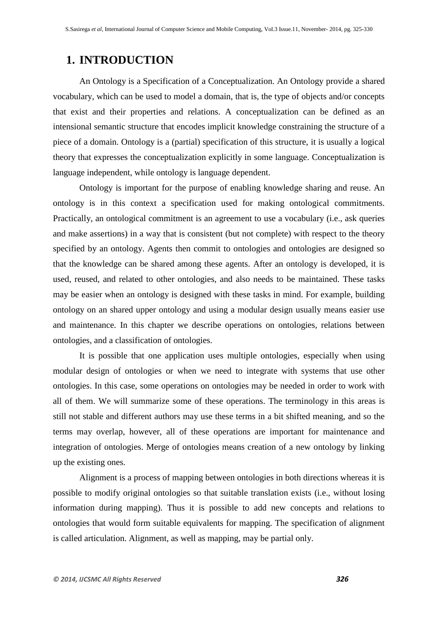#### **1. INTRODUCTION**

An Ontology is a Specification of a Conceptualization. An Ontology provide a shared vocabulary, which can be used to model a domain, that is, the type of objects and/or concepts that exist and their properties and relations. A conceptualization can be defined as an intensional semantic structure that encodes implicit knowledge constraining the structure of a piece of a domain. Ontology is a (partial) specification of this structure, it is usually a logical theory that expresses the conceptualization explicitly in some language. Conceptualization is language independent, while ontology is language dependent.

Ontology is important for the purpose of enabling knowledge sharing and reuse. An ontology is in this context a specification used for making ontological commitments. Practically, an ontological commitment is an agreement to use a vocabulary (i.e., ask queries and make assertions) in a way that is consistent (but not complete) with respect to the theory specified by an ontology. Agents then commit to ontologies and ontologies are designed so that the knowledge can be shared among these agents. After an ontology is developed, it is used, reused, and related to other ontologies, and also needs to be maintained. These tasks may be easier when an ontology is designed with these tasks in mind. For example, building ontology on an shared upper ontology and using a modular design usually means easier use and maintenance. In this chapter we describe operations on ontologies, relations between ontologies, and a classification of ontologies.

It is possible that one application uses multiple ontologies, especially when using modular design of ontologies or when we need to integrate with systems that use other ontologies. In this case, some operations on ontologies may be needed in order to work with all of them. We will summarize some of these operations. The terminology in this areas is still not stable and different authors may use these terms in a bit shifted meaning, and so the terms may overlap, however, all of these operations are important for maintenance and integration of ontologies. Merge of ontologies means creation of a new ontology by linking up the existing ones.

Alignment is a process of mapping between ontologies in both directions whereas it is possible to modify original ontologies so that suitable translation exists (i.e., without losing information during mapping). Thus it is possible to add new concepts and relations to ontologies that would form suitable equivalents for mapping. The specification of alignment is called articulation. Alignment, as well as mapping, may be partial only.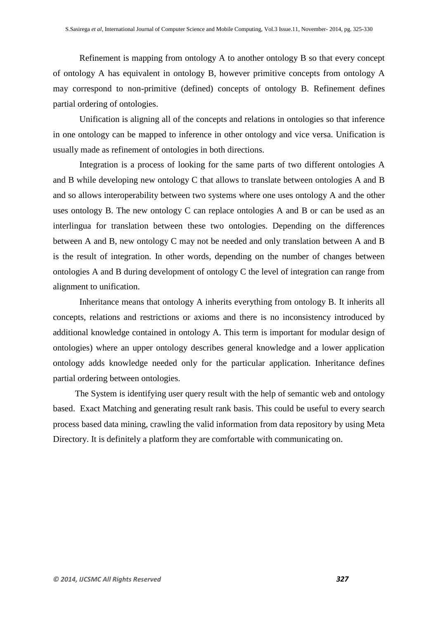Refinement is mapping from ontology A to another ontology B so that every concept of ontology A has equivalent in ontology B, however primitive concepts from ontology A may correspond to non-primitive (defined) concepts of ontology B. Refinement defines partial ordering of ontologies.

Unification is aligning all of the concepts and relations in ontologies so that inference in one ontology can be mapped to inference in other ontology and vice versa. Unification is usually made as refinement of ontologies in both directions.

Integration is a process of looking for the same parts of two different ontologies A and B while developing new ontology C that allows to translate between ontologies A and B and so allows interoperability between two systems where one uses ontology A and the other uses ontology B. The new ontology C can replace ontologies A and B or can be used as an interlingua for translation between these two ontologies. Depending on the differences between A and B, new ontology C may not be needed and only translation between A and B is the result of integration. In other words, depending on the number of changes between ontologies A and B during development of ontology C the level of integration can range from alignment to unification.

Inheritance means that ontology A inherits everything from ontology B. It inherits all concepts, relations and restrictions or axioms and there is no inconsistency introduced by additional knowledge contained in ontology A. This term is important for modular design of ontologies) where an upper ontology describes general knowledge and a lower application ontology adds knowledge needed only for the particular application. Inheritance defines partial ordering between ontologies.

 The System is identifying user query result with the help of semantic web and ontology based. Exact Matching and generating result rank basis. This could be useful to every search process based data mining, crawling the valid information from data repository by using Meta Directory. It is definitely a platform they are comfortable with communicating on.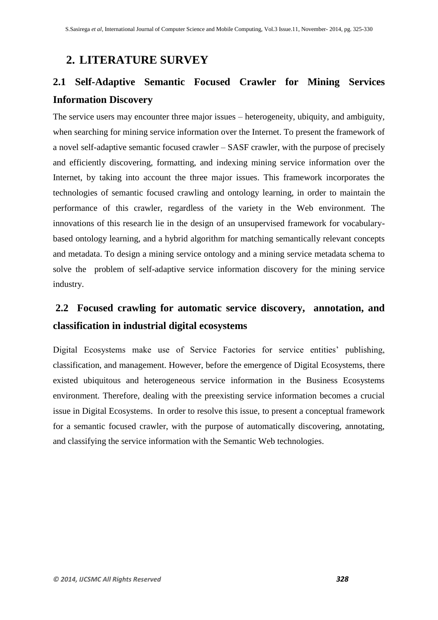#### **2. LITERATURE SURVEY**

## **2.1 Self-Adaptive Semantic Focused Crawler for Mining Services Information Discovery**

The service users may encounter three major issues – heterogeneity, ubiquity, and ambiguity, when searching for mining service information over the Internet. To present the framework of a novel self-adaptive semantic focused crawler – SASF crawler, with the purpose of precisely and efficiently discovering, formatting, and indexing mining service information over the Internet, by taking into account the three major issues. This framework incorporates the technologies of semantic focused crawling and ontology learning, in order to maintain the performance of this crawler, regardless of the variety in the Web environment. The innovations of this research lie in the design of an unsupervised framework for vocabularybased ontology learning, and a hybrid algorithm for matching semantically relevant concepts and metadata. To design a mining service ontology and a mining service metadata schema to solve the problem of self-adaptive service information discovery for the mining service industry.

### **2.2 Focused crawling for automatic service discovery, annotation, and classification in industrial digital ecosystems**

Digital Ecosystems make use of Service Factories for service entities' publishing, classification, and management. However, before the emergence of Digital Ecosystems, there existed ubiquitous and heterogeneous service information in the Business Ecosystems environment. Therefore, dealing with the preexisting service information becomes a crucial issue in Digital Ecosystems. In order to resolve this issue, to present a conceptual framework for a semantic focused crawler, with the purpose of automatically discovering, annotating, and classifying the service information with the Semantic Web technologies.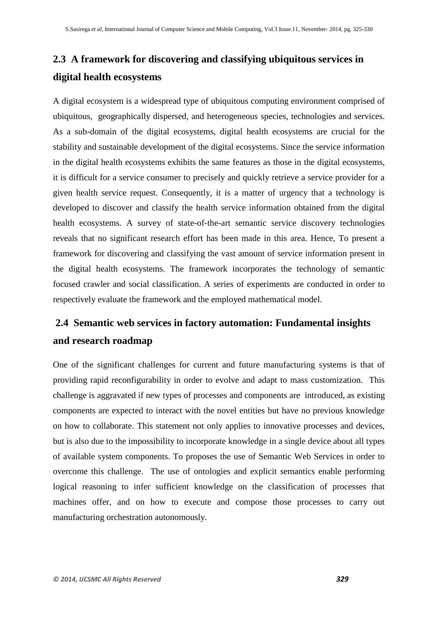# **2.3 A framework for discovering and classifying ubiquitous services in digital health ecosystems**

A digital ecosystem is a widespread type of ubiquitous computing environment comprised of ubiquitous, geographically dispersed, and heterogeneous species, technologies and services. As a sub-domain of the digital ecosystems, digital health ecosystems are crucial for the stability and sustainable development of the digital ecosystems. Since the service information in the digital health ecosystems exhibits the same features as those in the digital ecosystems, it is difficult for a service consumer to precisely and quickly retrieve a service provider for a given health service request. Consequently, it is a matter of urgency that a technology is developed to discover and classify the health service information obtained from the digital health ecosystems. A survey of state-of-the-art semantic service discovery technologies reveals that no significant research effort has been made in this area. Hence, To present a framework for discovering and classifying the vast amount of service information present in the digital health ecosystems. The framework incorporates the technology of semantic focused crawler and social classification. A series of experiments are conducted in order to respectively evaluate the framework and the employed mathematical model.

## **2.4 Semantic web services in factory automation: Fundamental insights and research roadmap**

One of the significant challenges for current and future manufacturing systems is that of providing rapid reconfigurability in order to evolve and adapt to mass customization. This challenge is aggravated if new types of processes and components are introduced, as existing components are expected to interact with the novel entities but have no previous knowledge on how to collaborate. This statement not only applies to innovative processes and devices, but is also due to the impossibility to incorporate knowledge in a single device about all types of available system components. To proposes the use of Semantic Web Services in order to overcome this challenge. The use of ontologies and explicit semantics enable performing logical reasoning to infer sufficient knowledge on the classification of processes that machines offer, and on how to execute and compose those processes to carry out manufacturing orchestration autonomously.